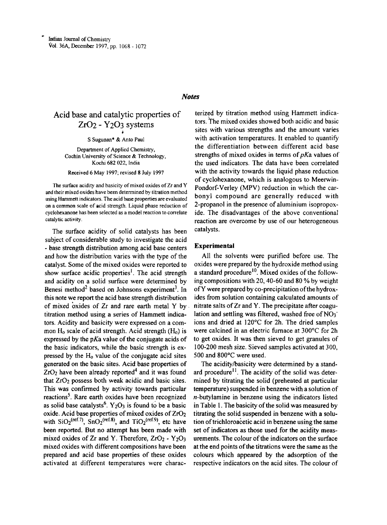## *Notes*

# Acid base and catalytic properties of Zr02 - Y203 systems t

S Sugunan" & Anto Paul

Department of Applied Chemistry, Cochin University of Science & Technology, Kochi 682 022, India

Received 6 May 1997; revised 8 July 1997

The surface acidity and basicity of mixed oxides of Zr and Y and their mixed oxides have been determined by titration method using Hammett indicators. The acid base properties are evaluated on a common scale of acid strength. Liquid phase reduction of cycJohexanone has been selected as a model reaction to correlate catalytic activity.

The surface acidity of solid catalysts has been subject of considerable study to investigate the acid - base strength distribution among acid base centers and how the distribution varies with the type of the catalyst. Some of the mixed oxides were reported to show surface acidic properties'. The acid strength and acidity on a solid surface were determined by Benesi method<sup>2</sup> based on Johnsons experiment<sup>3</sup>. In this note we report the acid base strength distribution of mixed oxides of Zr and rare earth metal Y by . titration method using a series of Hammett indicators. Acidity and basicity were expressed on a common  $H_0$  scale of acid strength. Acid strength  $(H_0)$  is expressed by the  $pKa$  value of the conjugate acids of the basic indicators, while the basic strength is expressed by the  $H_0$  value of the conjugate acid sites generated on the basic sites. Acid base properties of  $ZrO<sub>2</sub>$  have been already reported<sup>4</sup> and it was found that  $ZrO<sub>2</sub>$  possess both weak acidic and basic sites. This was confirmed by activity towards particular reactions<sup>5</sup>. Rare earth oxides have been recognized as solid base catalysts<sup>6</sup>. Y<sub>2</sub>O<sub>3</sub> is found to be a basic oxide. Acid base properties of mixed oxides of ZrO2 with  $SiO_2$ <sup>(ref.7)</sup>,  $SnO_2$ <sup>(ref.8)</sup>, and  $TiO_2$ <sup>(ref.9)</sup>, etc have been reported. But no attempt has been made with mixed oxides of Zr and Y. Therefore,  $ZrO<sub>2</sub> - Y<sub>2</sub>O<sub>3</sub>$ mixed oxides with different compositions have been prepared and acid base properties of these oxides activated at different temperatures were characterized by titration method using Hammett indicators. The mixed oxides showed both acidic and basic sites with various strengths and the amount varies with activation temperatures. It enabled to quantify the differentiation between different acid base strengths of mixed oxides in terms of*pKa* values of the used indicators. The data have been correlated with the activity towards the liquid phase reduction of cyclohexanone, which is analogous to Meerwin-Pondorf-Verley (MPV) reduction in which the carbonyl compound are generally reduced with 2-propanol in the presence of aluminium isopropoxide. The disadvantages of the above conventional reaction are overcome by use of our heterogeneous catalysts.

#### Experimental

All the solvents were purified before use. The oxides were prepared by the hydroxide method using a standard procedure<sup>10</sup>. Mixed oxides of the following compositions with 20, 40-60 and 80 % by weight of Y were prepared by co-precipitation of the hydroxides from solution containing calculated amounts of nitrate salts of  $Zr$  and Y. The precipitate after coagulation and settling was filtered, washed free of  $NO<sub>3</sub>$ ions and dried at 120°C for 2h. The dried samples were calcined in an electric furnace at 300°C for 2h to get oxides. It was then sieved to get granules of 100-200 mesh size. Sieved samples activated at 300, 500 and 800°C were used.

The acidity/basicity were determined by a standard procedure<sup>11</sup>. The acidity of the solid was determined by titrating the solid (preheated at particular temperature) suspended in benzene with a solution of n-butylamine in benzene using the indicators listed in Table 1. The basicity of the solid was measured by titrating the solid suspended in benzene with a solution oftrichloroacetic acid in benzene using the same set of indicators as those used for the acidity measurements. The colour of the indicators on the surface at the end points of the titrations were the same as the colours which appeared by the adsorption of the respective indicators on the acid sites. The colour of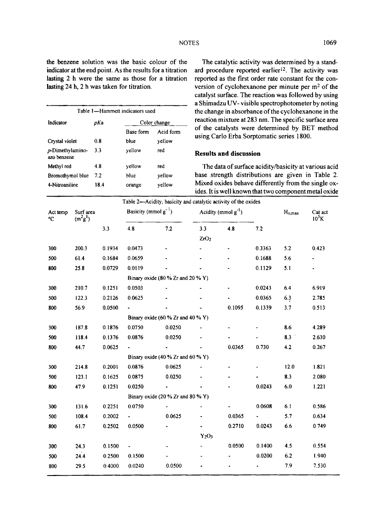the benzene solution was the basic colour of the The catalytic activity was determined by a stand-

| Table 1-Hammett indicators used       |      |                  |               |  |  |  |  |  |
|---------------------------------------|------|------------------|---------------|--|--|--|--|--|
| Indicator                             | pKa  | Color change     |               |  |  |  |  |  |
|                                       |      | <b>Base form</b> | Acid form     |  |  |  |  |  |
| Crystal violet                        | 0.8  | blue             | yellow<br>red |  |  |  |  |  |
| $\rho$ -Dimethylamino-<br>azo benzene | 3.3  | yellow           |               |  |  |  |  |  |
| Methyl red                            | 48   | yellow           | red           |  |  |  |  |  |
| Bromothymol blue                      | 7.2  | blue             | yellow        |  |  |  |  |  |
| 4-Nitroaniline                        | 18.4 | orange           | yellow        |  |  |  |  |  |
|                                       |      |                  |               |  |  |  |  |  |

indicator at the end point. As the results for a titration ard procedure reported earlier<sup>12</sup>. The activity was lasting 2 h were the same as those for a titration reported as the first order rate constant for the conlasting 24 h, 2 h was taken for titration. version of cyclohexanone per minute per m<sup>2</sup> of the catalyst surface. The reaction was followed by using a Shimadzu UV- visible spectrophotometer by noting the change in absorbance of the cyclohexanone in the reaction mixture at 283 nm. The specific surface area of the catalysts were determined by BET method using Carlo Erba Sorptomatic series 1800.

## **Results and discussion**

The data of surface acidity/basicity at various acid base strength distributions are given in Table 2. Mixed oxides behave differently from the single oxides. It is well known that two component metal oxide

| Table 2—Acidity, basicity and catalytic activity of the oxides |                         |        |                                       |                      |                          |        |        |             |                     |  |  |  |
|----------------------------------------------------------------|-------------------------|--------|---------------------------------------|----------------------|--------------------------|--------|--------|-------------|---------------------|--|--|--|
| Act temp<br>°C                                                 | Surf area<br>$(m^2g^l)$ |        | Basicity (mmol $g^{-1}$ )             |                      | Acidity (mmol $g^{-1}$ ) |        |        | $H_{o,max}$ | Cat act<br>$10^5$ K |  |  |  |
|                                                                |                         | 3.3    | 4.8                                   | 7.2                  | 3.3                      | 4.8    | 7.2    |             |                     |  |  |  |
|                                                                |                         |        |                                       |                      | ZrO <sub>2</sub>         |        |        |             |                     |  |  |  |
| 300                                                            | 200.3                   | 0.1934 | 0.0473                                |                      |                          |        | 0.3363 | 5.2         | 0.423               |  |  |  |
| 500                                                            | 61.4                    | 0.1684 | 0.0659                                |                      |                          |        | 0.1688 | 5.6         | ÷.                  |  |  |  |
| 800                                                            | 25.8                    | 0.0729 | 0.0119                                |                      |                          |        | 0.1129 | 5.1         | ÷.                  |  |  |  |
|                                                                |                         |        | Binary oxide (80 % Zr and 20 % Y)     |                      |                          |        |        |             |                     |  |  |  |
| 300                                                            | 210.7                   | 0.1251 | 0.0503                                |                      |                          | ٠      | 0.0243 | 6.4         | 6.919               |  |  |  |
| 500                                                            | 122.3                   | 0.2126 | 0.0625                                |                      |                          |        | 0.0365 | 6.3         | 2.785               |  |  |  |
| 800                                                            | 56.9                    | 0.0500 |                                       |                      |                          | 0.1095 | 0.1339 | 3.7         | 0.513               |  |  |  |
|                                                                |                         |        | Binary oxide $(60 % Zr$ and $40 % Y)$ |                      |                          |        |        |             |                     |  |  |  |
| 300                                                            | 187.8                   | 0.1876 | 0.0750                                | 0.0250               |                          |        |        | 8.6         | 4.289               |  |  |  |
| 500                                                            | 118.4                   | 0.1376 | 0.0876                                | 0.0250               |                          |        |        | 8.3         | 2.630               |  |  |  |
| 800                                                            | 44.7                    | 0.0625 |                                       |                      |                          | 0.0365 | 0.730  | 4.2         | 0.267               |  |  |  |
|                                                                |                         |        | Binary oxide $(40\%$ Zr and $60\%$ Y) |                      |                          |        |        |             |                     |  |  |  |
| 300                                                            | 214.8                   | 0.2001 | 0.0876                                | 0.0625               |                          |        |        | 12.0        | 1.821               |  |  |  |
| 500                                                            | 123.1                   | 0.1625 | 0.0875                                | 0.0250               |                          |        |        | 8.3         | 2.080               |  |  |  |
| 800                                                            | 47.9                    | 0.1251 | 0.0250                                | $\ddot{\phantom{0}}$ |                          |        | 0.0243 | 6.0         | 1.221               |  |  |  |
|                                                                |                         |        | Binary oxide (20 % Zr and 80 % Y)     |                      |                          |        |        |             |                     |  |  |  |
| 300                                                            | 131.6                   | 0.2251 | 0.0750                                | $\blacksquare$       |                          |        | 0.0608 | 6.1         | 0.586               |  |  |  |
| 500                                                            | 108.4                   | 0.2002 |                                       | 0.0625               |                          | 0.0365 |        | 5.7         | 0.634               |  |  |  |
| 800                                                            | 61.7                    | 0.2502 | 0.0500                                |                      |                          | 0.2710 | 0.0243 | 6.6         | 0.749               |  |  |  |
|                                                                |                         |        |                                       |                      | $Y_2O_3$                 |        |        |             |                     |  |  |  |
| 300                                                            | 24.3                    | 0.1500 |                                       |                      |                          | 0.0500 | 0.1400 | 4.5         | 0.554               |  |  |  |
| 500                                                            | 24.4                    | 0.2500 | 0.1500                                |                      |                          |        | 0.0200 | 6.2         | 1.940               |  |  |  |
| 800                                                            | 29.5                    | 0.4000 | 0.0240                                | 0.0500               |                          | ٠      |        | 7.9         | 7.530               |  |  |  |
|                                                                |                         |        |                                       |                      |                          |        |        |             |                     |  |  |  |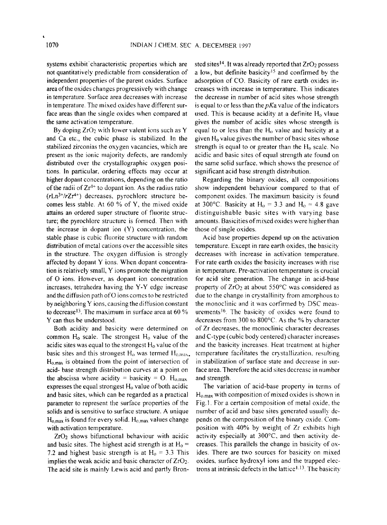systems exhibit' characteristic properties which are not quantitatively predictable from consideration of independent properties of the parent oxides. Surface areaof the oxides changes progressively with change in temperature. Surface area decreases with increase in temperature. The mixed oxides have different surface areas than the single oxides when compared at the same activation temperature.

By doping  $ZrO<sub>2</sub>$  with lower valent ions such as Y and Ca etc., the cubic phase is stabilized. In the stabilized zirconias the oxygen vacancies, which are present as the ionic majority defects, are randomly distributed over the crystallographic oxygen positions. In particular. ordering effects may occur at higher dopant concentrations, depending on the ratio of the radii of  $Zr^{4+}$  to dopant ion. As the radius ratio  $(rLn<sup>3+/r</sup>Zr<sup>4+</sup>)$  decreases, pyrochlore structure becomes less stable. At 60 % of Y, the mixed oxide attains an ordered super structure of fluorite structure; the pyrochlore structure is formed. Then with the increase in dopant ion (Y) concentration. the stable phase is cubic fluorite structure with random distribution of metal cations over the accessible sites in the structure. The oxygen diffusion is strongly affected by dopant Y ions. When dopant concentration is relatively small, Y ions promote the migration of 0 ions. However, as dopant ion concentration increases, tetrahedra hav ing the Y-Y edge increase and the diffusion path of O ions comes to be restricted by neighboring Y ions. causing the diffusion constant to decrease<sup>13</sup>. The maximum in surface area at  $60\%$ Y can thus be understood.

Both acidity and basicity were determined on common  $H_0$  scale. The strongest  $H_0$  value of the acidic sites was equal to the strongest  $H_0$  value of the basic sites and this strongest  $H_0$  was termed  $H_{0,max}$ .  $H_{0,max}$  is obtained from the point of intersection of acid- base strength distribution curves at a point on the abscissa where acidity = basicity =  $O$ . H<sub>o.max</sub> expresses the equal strongest  $H_0$  value of both acidic and basic sites, which can be regarded as a practical parameter to represent the surface properties of the solids and is sensitive to surface structure. A unique  $H_{0,max}$  is found for every solid.  $H_{0,max}$  values change with activation temperature.

Zr02 shows bifunctional behaviour with acidic and basic sites. The highest acid strength is at  $H_0 =$ 7.2 and highest basic strength is at  $H_0 = 3.3$  This implies the weak acidic and basic character of  $ZrO<sub>2</sub>$ . The acid site is mainly Lewis acid and partly Bronsted sites<sup>14</sup>. It was already reported that  $ZrO<sub>2</sub>$  possess a low, but definite basicity<sup>15</sup> and confirmed by the adsorption of CO. Basicity of rare earth oxides increases with increase in temperature. This indicates the decrease in number of acid sites whose strength is equal to or less than the  $pKa$  value of the indicators used. This is because acidity at a definite  $H_0$  vlaue gives the number of acidic sites whose strength is equal to or less than the  $H_0$  value and basicity at a given  $H_0$  value gives the number of basic sites whose strength is equal to or greater than the  $H_0$  scale. No acidic and basic sites of equal strength ate found on the same solid surface. which shows the presence of significant acid base strength distribution.

Regarding the binary oxides, all compositions show independent behaviour compared to that of component oxides. The maximum basicity is found at 300°C. Basicity at  $H_0 = 3.3$  and  $H_0 = 4.8$  gave distinguishable basic sites with varying base amounts. Basicities of mixed oxides were higher than those of single oxides.

Acid base properties depend up on the activation temperature. Except in rare earth oxides, the basicity decreases with increase in activation temperature. For rate earth oxides the basicity increases with rise in temperature. Pre-activation temperature is crucial for acid site generation. The change in acid-base property of  $ZrO<sub>2</sub>$  at about 550°C was considered as due to the change in crystallinity from amorphous to the monoclinic and it was corfirmed by DSC measurements<sup>16</sup>. The basicity of oxides were found to decreases from 300 to 800°C. As the % by character of Zr decreases, the monoclinic character decreases and C-type (cubic body centered) character increases and the basicity increases. Heat treatment at higher temperature facilitates the crystallization, resulting in stabilization of surface state and decrease in surface area. Therefore the acid sites decrease in number and strength.

The variation of acid-base property in terms of  $H_{0,max}$  with composition of mixed oxides is shown in Fig.l. For a certain composition of metal oxide, the number of acid and base sites generated usually depends on the composition of the binary oxide. Composition with 40% by weight of Zr exhibits high activity especially at 300°C, and then activity decreases. This parallels the change in basicity of oxides. There are two sources for basicity on mixed oxides, surface hydroxyl ions and the trapped electrons at intrinsic defects in the lattice  $1.13$ . The basicity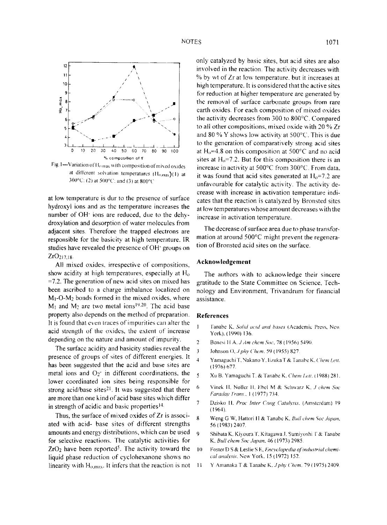

Fig. 1-Variation of Homax with composition of mixed oxides at different solvation temperatures (H<sub>o,max</sub>)(1) at 300°C: (2) at 500°C: and (3) at 800°C

at low temperature is dur to the presence of surface hydroxyl ions and as the temperature increases the number of OH<sup>-</sup> ions are reduced, due to the dehydroxylation and desorption of water molecules from adjacent sites. Therefore the trapped electrons are responsible for the basicity at high temperature. IR studies have revealed the presence of OH<sup>-</sup> groups on  $ZrO_{217,18}$ .

All mixed oxides, irrespective of compositions, show acidity at high temperatures, especially at  $H_0$  $=7.2$ . The generation of new acid sites on mixed has been ascribed to a charge imbalance localized on  $M_1$ -O-M<sub>2</sub> bonds formed in the mixed oxides, where  $M_1$  and  $M_2$  are two metal ions<sup>19.20</sup>. The acid base property also depends on the method of preparation. It is found that even traces of impurities can alter the acid strength of the oxides, the extent of increase depending on the nature and amount of impurity.

The surface acidity and basicity studies reveal the presence of groups of sites of different energies. It has been suggested that the acid and base sites are metal ions and  $O_2$  in different coordinations, the lower coordinated ion sites being responsible for strong acid/base sites<sup>21</sup>. It was suggested that there are more than one kind of acid base sites which differ in strength of acidic and basic properties<sup>14.</sup>

Thus, the surface of mixed oxides of Zr is associated with acid- base sites of different strengths amounts and energy distributions, which can be used for selective reactions. The catalytic activities for  $ZrO<sub>2</sub>$  have been reported<sup>5</sup>. The activity toward the liquid phase reduction of cyclohexanone shows no linearity with  $H_{0,max}$ . It infers that the reaction is not only catalyzed by basic sites, but acid sites are also involved in the reaction. The activity decreases with % by wt of Zr at low temperature, but it increases at high temperature. It is considered that the active sites for reduction at higher temperature are generated by the removal of surface carbonate groups from rare earth oxides. For each composition of mixed oxides the activity decreases from 300 to 800°C. Compared to all other compositions, mixed oxide with 20 % Zr and 80 % Y shows low activity at  $500^{\circ}$ C. This is due to the generation of comparatively strong acid sites at H<sub>0</sub>=4.8 on this composition at 500 $^{\circ}$ C and no acid sites at  $H_0 = 7.2$ . But for this composition there is an increase in activity at 500°C from 300°C. From data, it was found that acid sites generated at  $H_0 = 7.2$  are unfavourable for catalytic activity. The activity decrease with increase in activation temperature indicates that the reaction is catalyzed by Bronsted sites at low temperatures whose amount decreases with the increase in activation temperature.

The decrease of surface area due to phase transformation at around 500°C might prevent the regeneration of Bronsted acid sites on the surface.

## Acknowledgement

The authors with to acknowledge their sincere gratitude to the State Committee on Science, Technology and Environment, Trivandrum for financial assistance.

#### **References**

- $\mathbf{I}$ Tanabe K, Solid acid and bases (Academic Press, New York), (1990) 136.
- $\overline{2}$ Benesi H A, J Am chem Soc, 78 (1956) 5490.
- $\overline{\mathbf{3}}$ Johnson O, J phy Chem. 59 (1955) 827.
- $\overline{4}$ Yamaguchi T, Nakano Y, Iizuka T & Tanabe K, Chem Lett.  $(1976)$  677.
- $\overline{5}$ Xu B. Yamaguchi T. & Tanabe K. Chem Lett. (1988) 281.
- $\boldsymbol{6}$ Vinek H, Noller H, Ebel M & Schwarz K, J chem Soc Faraday Trans., 1 (1977) 734.
- $\overline{7}$ Dzisko H. Proc Inter Cong Catalysis. (Amsterdam) 19  $(1964).$
- $\boldsymbol{8}$ Weng G W, Hattori H & Tanabe K, Bull chem Soc Japan, 56 (1983) 2407.
- $\overline{9}$ Shibata K. Kiyoura T. Kitagawa J. Sumiyoshi T & Tanabe K. Bull chem Soc Japan, 46 (1973) 2985.
- Foster D S & Leslie S E, Encyclopedia of industrial chemi-10 cal analysis, New York, 15 (1972) 152.
- Y Amanaka T & Tanabe K, J phy Chem. 79 (1975) 2409.  $\overline{11}$